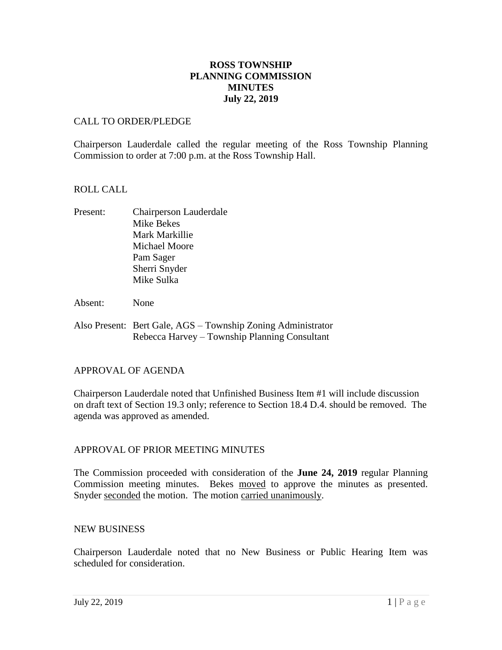# **ROSS TOWNSHIP PLANNING COMMISSION MINUTES July 22, 2019**

# CALL TO ORDER/PLEDGE

Chairperson Lauderdale called the regular meeting of the Ross Township Planning Commission to order at 7:00 p.m. at the Ross Township Hall.

#### ROLL CALL

- Present: Chairperson Lauderdale Mike Bekes Mark Markillie Michael Moore Pam Sager Sherri Snyder Mike Sulka
- Absent: None
- Also Present: Bert Gale, AGS Township Zoning Administrator Rebecca Harvey – Township Planning Consultant

#### APPROVAL OF AGENDA

Chairperson Lauderdale noted that Unfinished Business Item #1 will include discussion on draft text of Section 19.3 only; reference to Section 18.4 D.4. should be removed. The agenda was approved as amended.

# APPROVAL OF PRIOR MEETING MINUTES

The Commission proceeded with consideration of the **June 24, 2019** regular Planning Commission meeting minutes. Bekes moved to approve the minutes as presented. Snyder seconded the motion. The motion carried unanimously.

#### NEW BUSINESS

Chairperson Lauderdale noted that no New Business or Public Hearing Item was scheduled for consideration.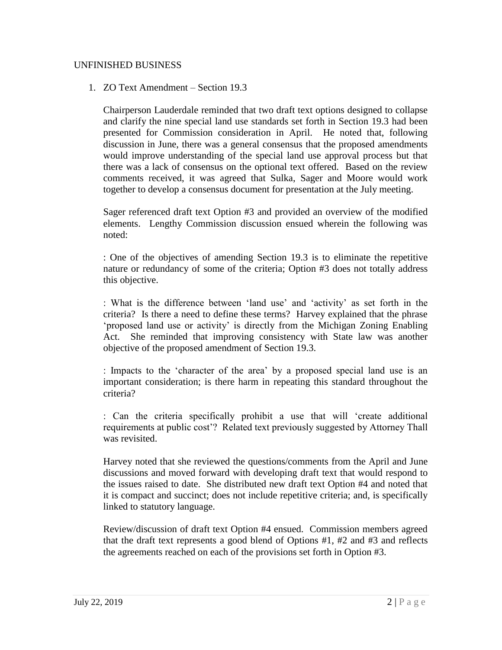## UNFINISHED BUSINESS

## 1. ZO Text Amendment – Section 19.3

Chairperson Lauderdale reminded that two draft text options designed to collapse and clarify the nine special land use standards set forth in Section 19.3 had been presented for Commission consideration in April. He noted that, following discussion in June, there was a general consensus that the proposed amendments would improve understanding of the special land use approval process but that there was a lack of consensus on the optional text offered. Based on the review comments received, it was agreed that Sulka, Sager and Moore would work together to develop a consensus document for presentation at the July meeting.

Sager referenced draft text Option #3 and provided an overview of the modified elements. Lengthy Commission discussion ensued wherein the following was noted:

: One of the objectives of amending Section 19.3 is to eliminate the repetitive nature or redundancy of some of the criteria; Option #3 does not totally address this objective.

: What is the difference between 'land use' and 'activity' as set forth in the criteria? Is there a need to define these terms? Harvey explained that the phrase 'proposed land use or activity' is directly from the Michigan Zoning Enabling Act. She reminded that improving consistency with State law was another objective of the proposed amendment of Section 19.3.

: Impacts to the 'character of the area' by a proposed special land use is an important consideration; is there harm in repeating this standard throughout the criteria?

: Can the criteria specifically prohibit a use that will 'create additional requirements at public cost'? Related text previously suggested by Attorney Thall was revisited.

Harvey noted that she reviewed the questions/comments from the April and June discussions and moved forward with developing draft text that would respond to the issues raised to date. She distributed new draft text Option #4 and noted that it is compact and succinct; does not include repetitive criteria; and, is specifically linked to statutory language.

Review/discussion of draft text Option #4 ensued. Commission members agreed that the draft text represents a good blend of Options #1, #2 and #3 and reflects the agreements reached on each of the provisions set forth in Option #3.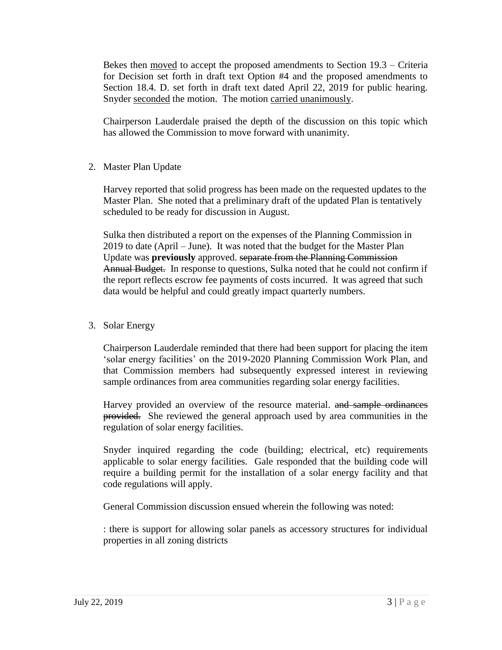Bekes then <u>moved</u> to accept the proposed amendments to Section 19.3 – Criteria for Decision set forth in draft text Option #4 and the proposed amendments to Section 18.4. D. set forth in draft text dated April 22, 2019 for public hearing. Snyder seconded the motion. The motion carried unanimously.

Chairperson Lauderdale praised the depth of the discussion on this topic which has allowed the Commission to move forward with unanimity.

2. Master Plan Update

Harvey reported that solid progress has been made on the requested updates to the Master Plan. She noted that a preliminary draft of the updated Plan is tentatively scheduled to be ready for discussion in August.

Sulka then distributed a report on the expenses of the Planning Commission in 2019 to date (April – June). It was noted that the budget for the Master Plan Update was **previously** approved. separate from the Planning Commission Annual Budget. In response to questions, Sulka noted that he could not confirm if the report reflects escrow fee payments of costs incurred. It was agreed that such data would be helpful and could greatly impact quarterly numbers.

3. Solar Energy

Chairperson Lauderdale reminded that there had been support for placing the item 'solar energy facilities' on the 2019-2020 Planning Commission Work Plan, and that Commission members had subsequently expressed interest in reviewing sample ordinances from area communities regarding solar energy facilities.

Harvey provided an overview of the resource material. and sample ordinances provided. She reviewed the general approach used by area communities in the regulation of solar energy facilities.

Snyder inquired regarding the code (building; electrical, etc) requirements applicable to solar energy facilities. Gale responded that the building code will require a building permit for the installation of a solar energy facility and that code regulations will apply.

General Commission discussion ensued wherein the following was noted:

: there is support for allowing solar panels as accessory structures for individual properties in all zoning districts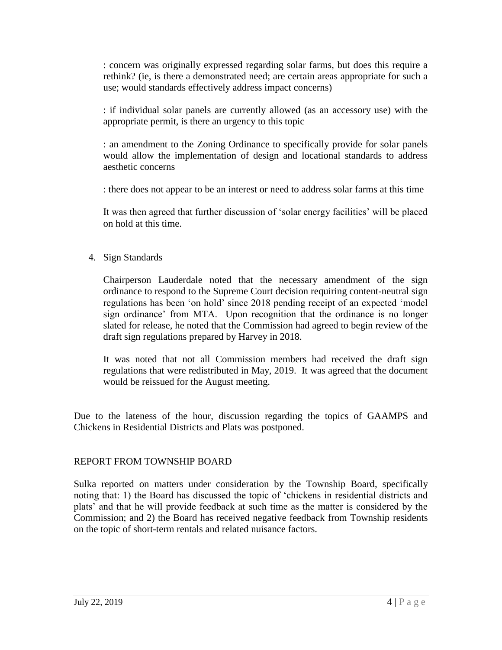: concern was originally expressed regarding solar farms, but does this require a rethink? (ie, is there a demonstrated need; are certain areas appropriate for such a use; would standards effectively address impact concerns)

: if individual solar panels are currently allowed (as an accessory use) with the appropriate permit, is there an urgency to this topic

: an amendment to the Zoning Ordinance to specifically provide for solar panels would allow the implementation of design and locational standards to address aesthetic concerns

: there does not appear to be an interest or need to address solar farms at this time

It was then agreed that further discussion of 'solar energy facilities' will be placed on hold at this time.

4. Sign Standards

Chairperson Lauderdale noted that the necessary amendment of the sign ordinance to respond to the Supreme Court decision requiring content-neutral sign regulations has been 'on hold' since 2018 pending receipt of an expected 'model sign ordinance' from MTA. Upon recognition that the ordinance is no longer slated for release, he noted that the Commission had agreed to begin review of the draft sign regulations prepared by Harvey in 2018.

It was noted that not all Commission members had received the draft sign regulations that were redistributed in May, 2019. It was agreed that the document would be reissued for the August meeting.

Due to the lateness of the hour, discussion regarding the topics of GAAMPS and Chickens in Residential Districts and Plats was postponed.

# REPORT FROM TOWNSHIP BOARD

Sulka reported on matters under consideration by the Township Board, specifically noting that: 1) the Board has discussed the topic of 'chickens in residential districts and plats' and that he will provide feedback at such time as the matter is considered by the Commission; and 2) the Board has received negative feedback from Township residents on the topic of short-term rentals and related nuisance factors.